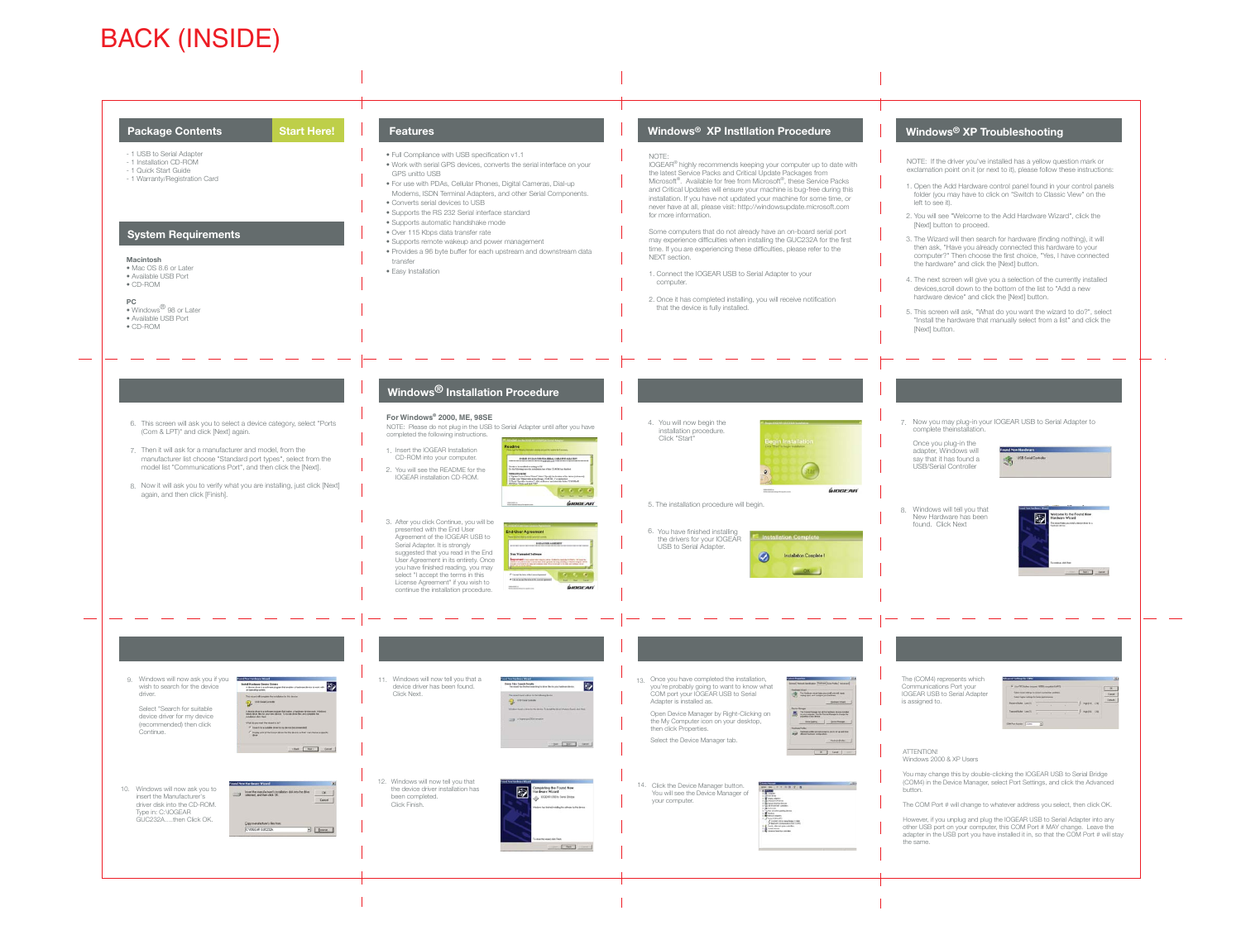NOTE: If the driver you've installed has a yellow question mark or exclamation point on it (or next to it), please follow these instructions:



1. Open the Add Hardware control panel found in your control panels folder (you may have to click on "Switch to Classic View" on the

2. You will see "Welcome to the Add Hardware Wizard", click the

3. The Wizard will then search for hardware (finding nothing), it will then ask, "Have you already connected this hardware to your computer?" Then choose the first choice, "Yes, I have connected the hardware" and click the [Next] button.

4. The next screen will give you a selection of the currently installed devices,scroll down to the bottom of the list to "Add a new hardware device" and click the [Next] button.

5. This screen will ask, "What do you want the wizard to do?", select "Install the hardware that manually select from a list" and click the

7. Now you may plug-in your IOGEAR USB to Serial Adapter to

S



| Salest higher sellings for fasher performance. |  |   | Salesh loves vehicle to consol committee politicial |  |                  |      |               |
|------------------------------------------------|--|---|-----------------------------------------------------|--|------------------|------|---------------|
| <b>Receive Bullet Line (1)</b>                 |  |   |                                                     |  | High (14) 2140   |      | <b>Calado</b> |
|                                                |  | ÷ |                                                     |  |                  |      |               |
| <b>General Bullet Line (T)</b>                 |  |   |                                                     |  | <b>Huji (18)</b> | 1983 |               |

You may change this by double-clicking the IOGEAR USB to Serial Bridge (COM4) in the Device Manager, select Port Settings, and click the Advanced

The COM Port # will change to whatever address you select, then click OK.

However, if you unplug and plug the IOGEAR USB to Serial Adapter into any<br>other USB port on your computer, this COM Port # MAY change. Leave the<br>adapter in the USB port you have installed it in, so that the COM Port # will

## **Windows® XP Troubleshooting**

# BACK (INSIDE)